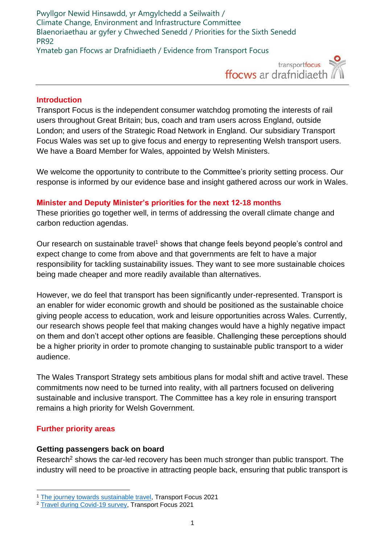Pwyllgor Newid Hinsawdd, yr Amgylchedd a Seilwaith / Climate Change, Environment and Infrastructure Committee Blaenoriaethau ar gyfer y Chweched Senedd / Priorities for the Sixth Senedd PR92 Ymateb gan Ffocws ar Drafnidiaeth / Evidence from Transport Focus



#### **Introduction**

Transport Focus is the independent consumer watchdog promoting the interests of rail users throughout Great Britain; bus, coach and tram users across England, outside London; and users of the Strategic Road Network in England. Our subsidiary Transport Focus Wales was set up to give focus and energy to representing Welsh transport users. We have a Board Member for Wales, appointed by Welsh Ministers.

We welcome the opportunity to contribute to the Committee's priority setting process. Our response is informed by our evidence base and insight gathered across our work in Wales.

### **Minister and Deputy Minister's priorities for the next 12-18 months**

These priorities go together well, in terms of addressing the overall climate change and carbon reduction agendas.

Our research on sustainable travel<sup>1</sup> shows that change feels beyond people's control and expect change to come from above and that governments are felt to have a major responsibility for tackling sustainability issues. They want to see more sustainable choices being made cheaper and more readily available than alternatives.

However, we do feel that transport has been significantly under-represented. Transport is an enabler for wider economic growth and should be positioned as the sustainable choice giving people access to education, work and leisure opportunities across Wales. Currently, our research shows people feel that making changes would have a highly negative impact on them and don't accept other options are feasible. Challenging these perceptions should be a higher priority in order to promote changing to sustainable public transport to a wider audience.

The Wales Transport Strategy sets ambitious plans for modal shift and active travel. These commitments now need to be turned into reality, with all partners focused on delivering sustainable and inclusive transport. The Committee has a key role in ensuring transport remains a high priority for Welsh Government.

### **Further priority areas**

### **Getting passengers back on board**

Research<sup>2</sup> shows the car-led recovery has been much stronger than public transport. The industry will need to be proactive in attracting people back, ensuring that public transport is

<sup>1</sup> [The journey towards sustainable travel,](https://www.transportfocus.org.uk/publication/the-journey-towards-sustainable-travel/) Transport Focus 2021

<sup>&</sup>lt;sup>2</sup> [Travel during Covid-19 survey,](https://www.transportfocus.org.uk/publication/week-59-travel-during-covid-19-survey/) Transport Focus 2021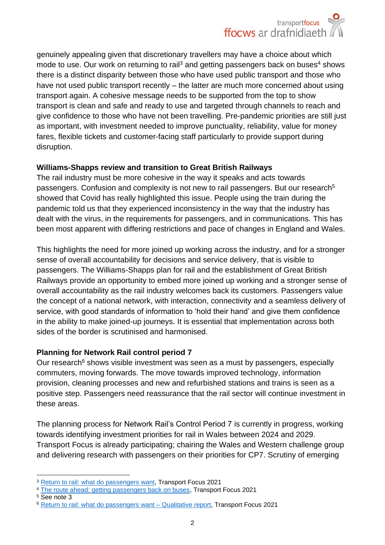genuinely appealing given that discretionary travellers may have a choice about which mode to use. Our work on returning to rail<sup>3</sup> and getting passengers back on buses<sup>4</sup> shows there is a distinct disparity between those who have used public transport and those who have not used public transport recently – the latter are much more concerned about using transport again. A cohesive message needs to be supported from the top to show transport is clean and safe and ready to use and targeted through channels to reach and give confidence to those who have not been travelling. Pre-pandemic priorities are still just as important, with investment needed to improve punctuality, reliability, value for money fares, flexible tickets and customer-facing staff particularly to provide support during disruption.

# **Williams-Shapps review and transition to Great British Railways**

The rail industry must be more cohesive in the way it speaks and acts towards passengers. Confusion and complexity is not new to rail passengers. But our research<sup>5</sup> showed that Covid has really highlighted this issue. People using the train during the pandemic told us that they experienced inconsistency in the way that the industry has dealt with the virus, in the requirements for passengers, and in communications. This has been most apparent with differing restrictions and pace of changes in England and Wales.

This highlights the need for more joined up working across the industry, and for a stronger sense of overall accountability for decisions and service delivery, that is visible to passengers. The Williams-Shapps plan for rail and the establishment of Great British Railways provide an opportunity to embed more joined up working and a stronger sense of overall accountability as the rail industry welcomes back its customers. Passengers value the concept of a national network, with interaction, connectivity and a seamless delivery of service, with good standards of information to 'hold their hand' and give them confidence in the ability to make joined-up journeys. It is essential that implementation across both sides of the border is scrutinised and harmonised.

# **Planning for Network Rail control period 7**

Our research<sup>6</sup> shows visible investment was seen as a must by passengers, especially commuters, moving forwards. The move towards improved technology, information provision, cleaning processes and new and refurbished stations and trains is seen as a positive step. Passengers need reassurance that the rail sector will continue investment in these areas.

The planning process for Network Rail's Control Period 7 is currently in progress, working towards identifying investment priorities for rail in Wales between 2024 and 2029. Transport Focus is already participating; chairing the Wales and Western challenge group and delivering research with passengers on their priorities for CP7. Scrutiny of emerging

<sup>&</sup>lt;sup>3</sup> [Return to rail: what do passengers want,](https://www.transportfocus.org.uk/publication/return-to-rail-what-do-passengers-want/) Transport Focus 2021

<sup>&</sup>lt;sup>4</sup> [The route ahead: getting passengers back on buses,](https://www.transportfocus.org.uk/publication/the-route-ahead-getting-passengers-back-on-buses-2/) Transport Focus 2021

<sup>5</sup> See note 3

<sup>6</sup> [Return to rail: what do passengers want](https://d3cez36w5wymxj.cloudfront.net/wp-content/uploads/2021/07/28175912/Return-to-rail-qualitative-research-agency-report-1.pdf) – Qualitative report, Transport Focus 2021